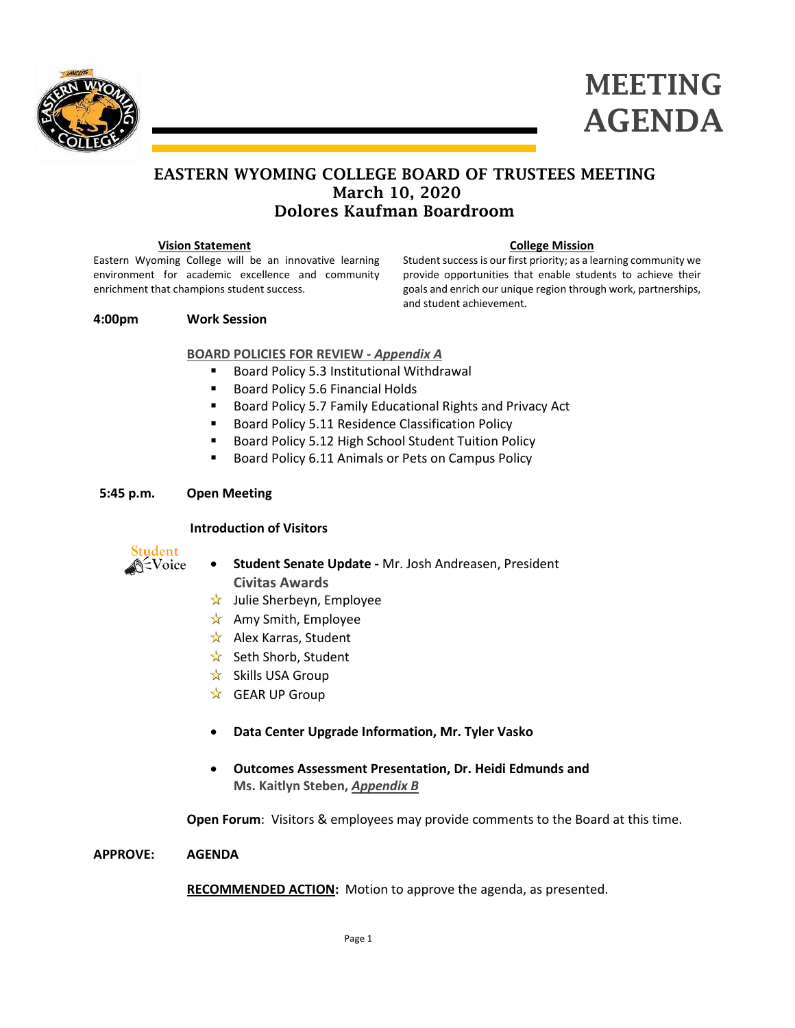



# EASTERN WYOMING COLLEGE BOARD OF TRUSTEES MEETING March 10, 2020 Dolores Kaufman Boardroom

#### **Vision Statement**

Eastern Wyoming College will be an innovative learning environment for academic excellence and community enrichment that champions student success.

#### **College Mission**

Student success is our first priority; as a learning community we provide opportunities that enable students to achieve their goals and enrich our unique region through work, partnerships, and student achievement.

#### **4:00pm Work Session**

# **BOARD POLICIES FOR REVIEW -** *Appendix A*

- Board Policy 5.3 Institutional Withdrawal
- Board Policy 5.6 Financial Holds
- **Board Policy 5.7 Family Educational Rights and Privacy Act**
- **Board Policy 5.11 Residence Classification Policy**
- **Board Policy 5.12 High School Student Tuition Policy**
- Board Policy 6.11 Animals or Pets on Campus Policy

### **5:45 p.m. Open Meeting**

## **Introduction of Visitors**



- **Student Senate Update -** Mr. Josh Andreasen, President **Civitas Awards**
- $\star$  Julie Sherbeyn, Employee
- $\hat{\mathbf{x}}$  Amy Smith, Employee
- $\star$  Alex Karras, Student
- $\star$  Seth Shorb, Student
- $\overrightarrow{x}$  Skills USA Group
- $\overrightarrow{x}$  GEAR UP Group
- **Data Center Upgrade Information, Mr. Tyler Vasko**
- **Outcomes Assessment Presentation, Dr. Heidi Edmunds and Ms. Kaitlyn Steben,** *Appendix B*

**Open Forum**: Visitors & employees may provide comments to the Board at this time.

#### **APPROVE: AGENDA**

**RECOMMENDED ACTION:** Motion to approve the agenda, as presented.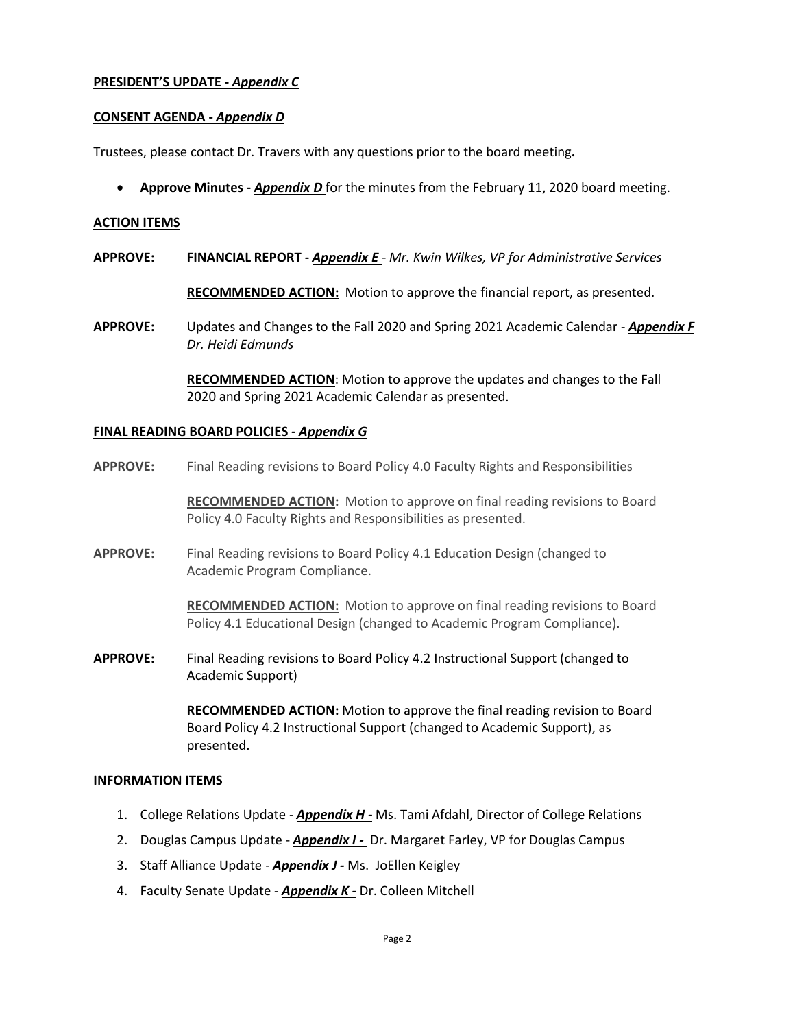# **PRESIDENT'S UPDATE -** *Appendix C*

### **CONSENT AGENDA -** *Appendix D*

Trustees, please contact Dr. Travers with any questions prior to the board meeting**.**

• **Approve Minutes -** *Appendix D* for the minutes from the February 11, 2020 board meeting.

#### **ACTION ITEMS**

**APPROVE: FINANCIAL REPORT -** *Appendix E* - *Mr. Kwin Wilkes, VP for Administrative Services*

**RECOMMENDED ACTION:** Motion to approve the financial report, as presented.

**APPROVE:** Updates and Changes to the Fall 2020 and Spring 2021 Academic Calendar - *Appendix F Dr. Heidi Edmunds*

> **RECOMMENDED ACTION**: Motion to approve the updates and changes to the Fall 2020 and Spring 2021 Academic Calendar as presented.

#### **FINAL READING BOARD POLICIES -** *Appendix G*

**APPROVE:** Final Reading revisions to Board Policy 4.0 Faculty Rights and Responsibilities

**RECOMMENDED ACTION:** Motion to approve on final reading revisions to Board Policy 4.0 Faculty Rights and Responsibilities as presented.

**APPROVE:** Final Reading revisions to Board Policy 4.1 Education Design (changed to Academic Program Compliance.

> **RECOMMENDED ACTION:** Motion to approve on final reading revisions to Board Policy 4.1 Educational Design (changed to Academic Program Compliance).

**APPROVE:** Final Reading revisions to Board Policy 4.2 Instructional Support (changed to Academic Support)

> **RECOMMENDED ACTION:** Motion to approve the final reading revision to Board Board Policy 4.2 Instructional Support (changed to Academic Support), as presented.

#### **INFORMATION ITEMS**

- 1. College Relations Update *Appendix H -* Ms. Tami Afdahl, Director of College Relations
- 2. Douglas Campus Update *Appendix I -* Dr. Margaret Farley, VP for Douglas Campus
- 3. Staff Alliance Update *Appendix J -* Ms. JoEllen Keigley
- 4. Faculty Senate Update *Appendix K -* Dr. Colleen Mitchell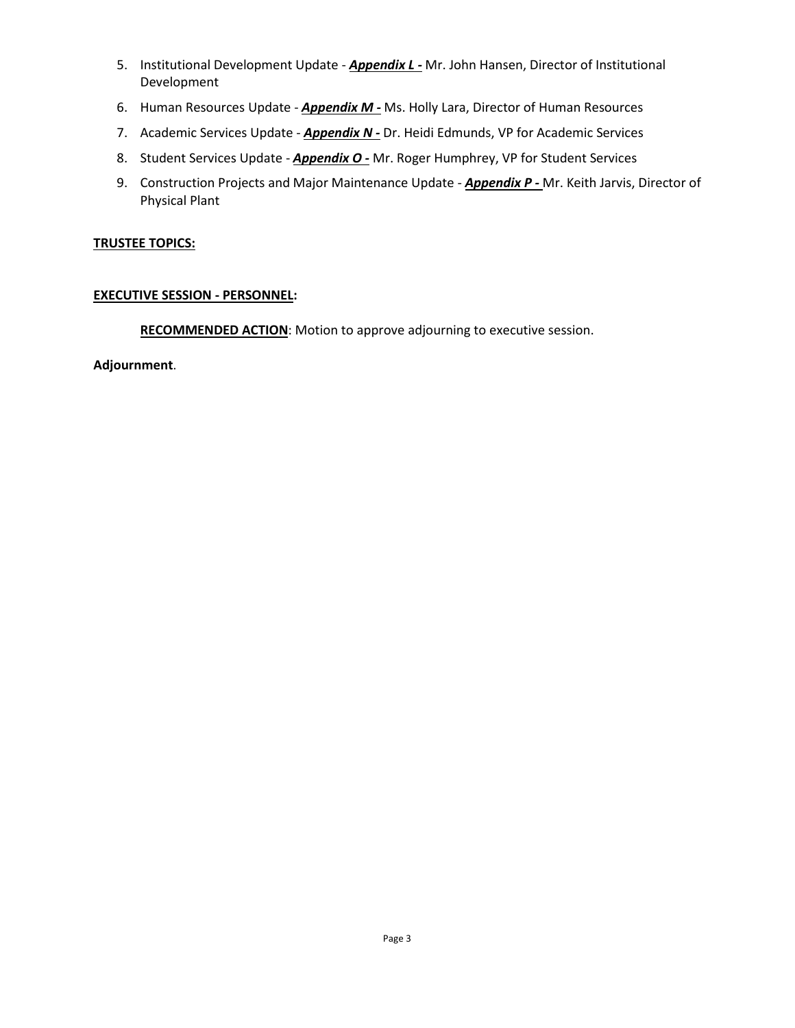- 5. Institutional Development Update *Appendix L -* Mr. John Hansen, Director of Institutional Development
- 6. Human Resources Update *Appendix M -* Ms. Holly Lara, Director of Human Resources
- 7. Academic Services Update *Appendix N -* Dr. Heidi Edmunds, VP for Academic Services
- 8. Student Services Update *Appendix O -* Mr. Roger Humphrey, VP for Student Services
- 9. Construction Projects and Major Maintenance Update *Appendix P -* Mr. Keith Jarvis, Director of Physical Plant

# **TRUSTEE TOPICS:**

# **EXECUTIVE SESSION - PERSONNEL:**

**RECOMMENDED ACTION**: Motion to approve adjourning to executive session.

**Adjournment**.